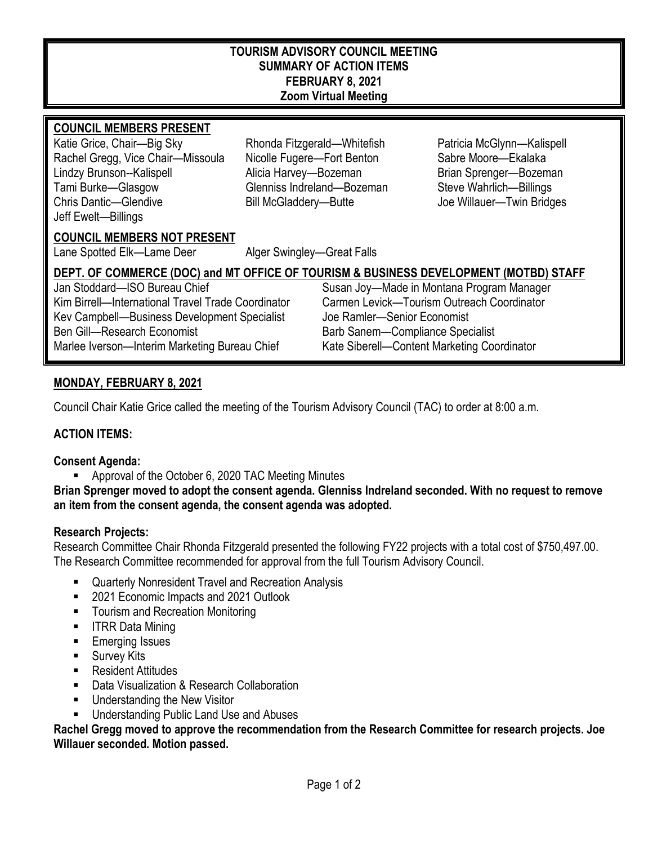#### **TOURISM ADVISORY COUNCIL MEETING SUMMARY OF ACTION ITEMS FEBRUARY 8, 2021 Zoom Virtual Meeting**

### **COUNCIL MEMBERS PRESENT**

Katie Grice, Chair—Big Sky Rhonda Fitzgerald—Whitefish Patricia McGlynn—Kalispell Rachel Gregg, Vice Chair—Missoula Nicolle Fugere—Fort Benton Sabre Moore—Ekalaka Lindzy Brunson--Kalispell **Alicia Harvey—Bozeman** Brian Sprenger—Bozeman Tami Burke—Glasgow Glenniss Indreland—Bozeman Steve Wahrlich—Billings Chris Dantic—Glendive **Bill McGladdery—Butte** Joe Willauer—Twin Bridges Jeff Ewelt—Billings

## **COUNCIL MEMBERS NOT PRESENT**

Lane Spotted Elk—Lame Deer Alger Swingley—Great Falls

## **DEPT. OF COMMERCE (DOC) and MT OFFICE OF TOURISM & BUSINESS DEVELOPMENT (MOTBD) STAFF**

Kev Campbell—Business Development Specialist Joe Ramler—Senior Economist Ben Gill—Research Economist Barb Sanem—Compliance Specialist Marlee Iverson—Interim Marketing Bureau Chief Kate Siberell—Content Marketing Coordinator

Jan Stoddard—ISO Bureau Chief Susan Joy—Made in Montana Program Manager<br>Kim Birrell—International Travel Trade Coordinator Carmen Levick—Tourism Outreach Coordinator Carmen Levick—Tourism Outreach Coordinator

### **MONDAY, FEBRUARY 8, 2021**

Council Chair Katie Grice called the meeting of the Tourism Advisory Council (TAC) to order at 8:00 a.m.

### **ACTION ITEMS:**

### **Consent Agenda:**

■ Approval of the October 6, 2020 TAC Meeting Minutes

### **Brian Sprenger moved to adopt the consent agenda. Glenniss Indreland seconded. With no request to remove an item from the consent agenda, the consent agenda was adopted.**

### **Research Projects:**

Research Committee Chair Rhonda Fitzgerald presented the following FY22 projects with a total cost of \$750,497.00. The Research Committee recommended for approval from the full Tourism Advisory Council.

- Quarterly Nonresident Travel and Recreation Analysis
- 2021 Economic Impacts and 2021 Outlook
- Tourism and Recreation Monitoring
- **IFRR Data Mining**
- **Emerging Issues**
- **Survey Kits**
- Resident Attitudes
- Data Visualization & Research Collaboration
- **Understanding the New Visitor**
- Understanding Public Land Use and Abuses

**Rachel Gregg moved to approve the recommendation from the Research Committee for research projects. Joe Willauer seconded. Motion passed.**